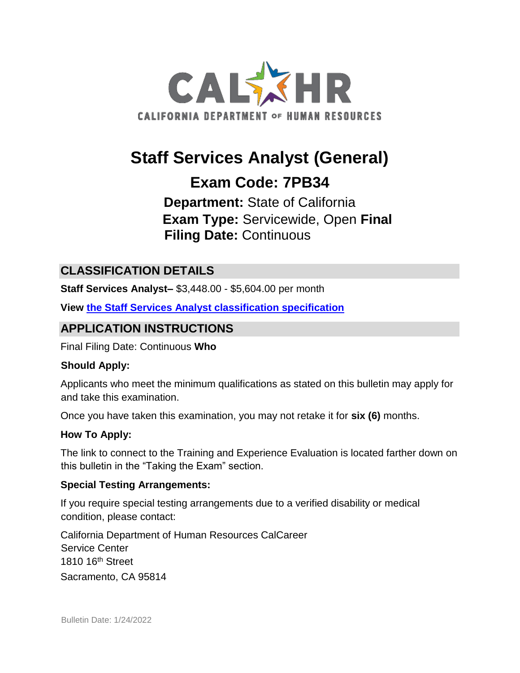

# **Staff Services Analyst (General)**

## **Exam Code: 7PB34**

**Department:** State of California **Exam Type:** Servicewide, Open **Final Filing Date:** Continuous

#### **CLASSIFICATION DETAILS**

**Staff Services Analyst–** \$3,448.00 - \$5,604.00 per month

**View [the Staff Services Analyst classification specification](http://www.calhr.ca.gov/state-hr-professionals/pages/5157.aspx)**

#### **APPLICATION INSTRUCTIONS**

Final Filing Date: Continuous **Who** 

#### **Should Apply:**

Applicants who meet the minimum qualifications as stated on this bulletin may apply for and take this examination.

Once you have taken this examination, you may not retake it for **six (6)** months.

#### **How To Apply:**

The link to connect to the Training and Experience Evaluation is located farther down on this bulletin in the "Taking the Exam" section.

#### **Special Testing Arrangements:**

If you require special testing arrangements due to a verified disability or medical condition, please contact:

California Department of Human Resources CalCareer Service Center 1810 16<sup>th</sup> Street Sacramento, CA 95814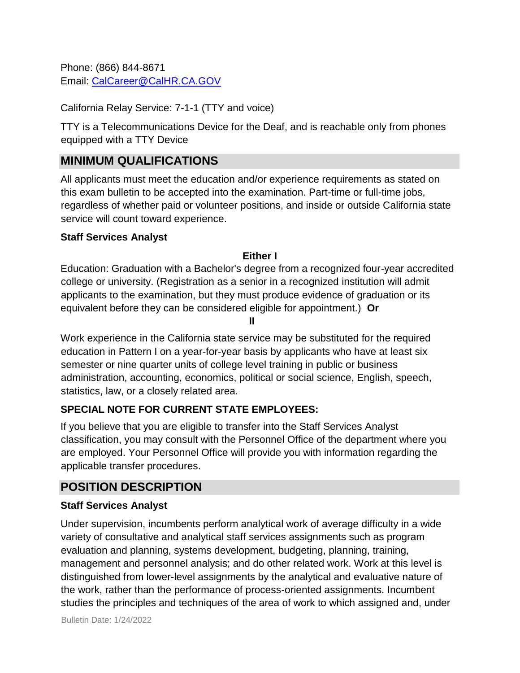Phone: (866) 844-8671 Email: CalCareer@CalHR.CA.GOV

California Relay Service: 7-1-1 (TTY and voice)

TTY is a Telecommunications Device for the Deaf, and is reachable only from phones equipped with a TTY Device

## **MINIMUM QUALIFICATIONS**

All applicants must meet the education and/or experience requirements as stated on this exam bulletin to be accepted into the examination. Part-time or full-time jobs, regardless of whether paid or volunteer positions, and inside or outside California state service will count toward experience.

#### **Staff Services Analyst**

#### **Either I**

Education: Graduation with a Bachelor's degree from a recognized four-year accredited college or university. (Registration as a senior in a recognized institution will admit applicants to the examination, but they must produce evidence of graduation or its equivalent before they can be considered eligible for appointment.) **Or** 

**II**

Work experience in the California state service may be substituted for the required education in Pattern I on a year-for-year basis by applicants who have at least six semester or nine quarter units of college level training in public or business administration, accounting, economics, political or social science, English, speech, statistics, law, or a closely related area.

#### **SPECIAL NOTE FOR CURRENT STATE EMPLOYEES:**

If you believe that you are eligible to transfer into the Staff Services Analyst classification, you may consult with the Personnel Office of the department where you are employed. Your Personnel Office will provide you with information regarding the applicable transfer procedures.

## **POSITION DESCRIPTION**

#### **Staff Services Analyst**

Under supervision, incumbents perform analytical work of average difficulty in a wide variety of consultative and analytical staff services assignments such as program evaluation and planning, systems development, budgeting, planning, training, management and personnel analysis; and do other related work. Work at this level is distinguished from lower-level assignments by the analytical and evaluative nature of the work, rather than the performance of process-oriented assignments. Incumbent studies the principles and techniques of the area of work to which assigned and, under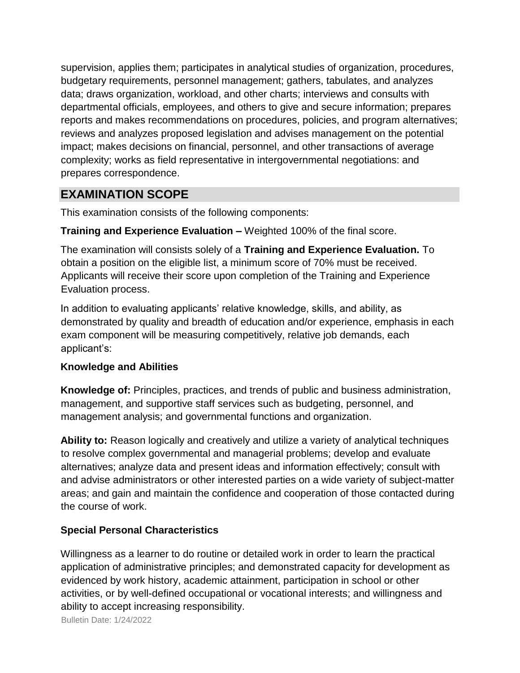supervision, applies them; participates in analytical studies of organization, procedures, budgetary requirements, personnel management; gathers, tabulates, and analyzes data; draws organization, workload, and other charts; interviews and consults with departmental officials, employees, and others to give and secure information; prepares reports and makes recommendations on procedures, policies, and program alternatives; reviews and analyzes proposed legislation and advises management on the potential impact; makes decisions on financial, personnel, and other transactions of average complexity; works as field representative in intergovernmental negotiations: and prepares correspondence.

#### **EXAMINATION SCOPE**

This examination consists of the following components:

**Training and Experience Evaluation –** Weighted 100% of the final score.

The examination will consists solely of a **Training and Experience Evaluation.** To obtain a position on the eligible list, a minimum score of 70% must be received. Applicants will receive their score upon completion of the Training and Experience Evaluation process.

In addition to evaluating applicants' relative knowledge, skills, and ability, as demonstrated by quality and breadth of education and/or experience, emphasis in each exam component will be measuring competitively, relative job demands, each applicant's:

#### **Knowledge and Abilities**

**Knowledge of:** Principles, practices, and trends of public and business administration, management, and supportive staff services such as budgeting, personnel, and management analysis; and governmental functions and organization.

**Ability to:** Reason logically and creatively and utilize a variety of analytical techniques to resolve complex governmental and managerial problems; develop and evaluate alternatives; analyze data and present ideas and information effectively; consult with and advise administrators or other interested parties on a wide variety of subject-matter areas; and gain and maintain the confidence and cooperation of those contacted during the course of work.

#### **Special Personal Characteristics**

Willingness as a learner to do routine or detailed work in order to learn the practical application of administrative principles; and demonstrated capacity for development as evidenced by work history, academic attainment, participation in school or other activities, or by well-defined occupational or vocational interests; and willingness and ability to accept increasing responsibility.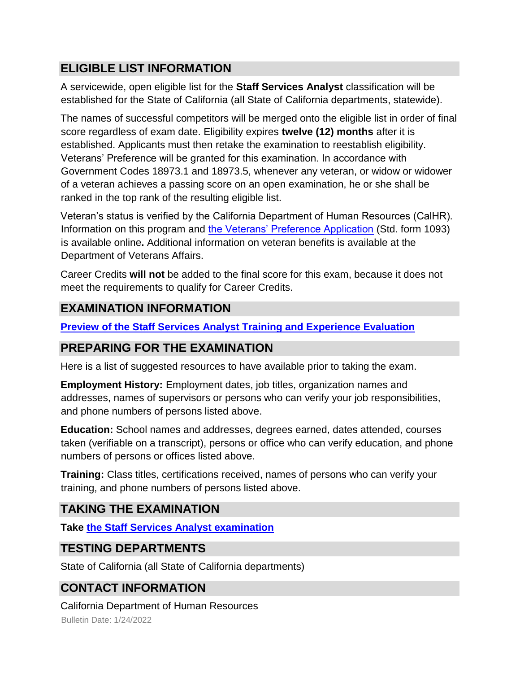## **ELIGIBLE LIST INFORMATION**

A servicewide, open eligible list for the **Staff Services Analyst** classification will be established for the State of California (all State of California departments, statewide).

The names of successful competitors will be merged onto the eligible list in order of final score regardless of exam date. Eligibility expires **twelve (12) months** after it is established. Applicants must then retake the examination to reestablish eligibility. Veterans' Preference will be granted for this examination. In accordance with Government Codes 18973.1 and 18973.5, whenever any veteran, or widow or widower of a veteran achieves a passing score on an open examination, he or she shall be ranked in the top rank of the resulting eligible list.

Veteran's status is verified by the California Department of Human Resources (CalHR). Information on this program and [the Veterans' Preference Application](https://www.jobs.ca.gov/CalHRPublic/Landing/Jobs/VeteransInformation.aspx) [\(](https://www.jobs.ca.gov/CalHRPublic/Landing/Jobs/VeteransInformation.aspx)Std. form 1093) is available online**.** Additional information on veteran benefits is available at the Department of Veterans Affairs.

Career Credits **will not** be added to the final score for this exam, because it does not meet the requirements to qualify for Career Credits.

## **EXAMINATION INFORMATION**

**[Preview of the Staff Services Analyst Training and Experience Evaluation](https://jobs.ca.gov/jobsgen/7PB34A.pdf)**

#### **PREPARING FOR THE EXAMINATION**

Here is a list of suggested resources to have available prior to taking the exam.

**Employment History:** Employment dates, job titles, organization names and addresses, names of supervisors or persons who can verify your job responsibilities, and phone numbers of persons listed above.

**Education:** School names and addresses, degrees earned, dates attended, courses taken (verifiable on a transcript), persons or office who can verify education, and phone numbers of persons or offices listed above.

**Training:** Class titles, certifications received, names of persons who can verify your training, and phone numbers of persons listed above.

## **TAKING THE EXAMINATION**

**Tak[e](https://exams.spb.ca.gov/exams/ssa/index.cfm) [the Staff](https://exams.spb.ca.gov/exams/ssa/index.cfm) [Services Analyst examination](https://exams.spb.ca.gov/exams/ssa/index.cfm)**

## **TESTING DEPARTMENTS**

State of California (all State of California departments)

## **CONTACT INFORMATION**

Bulletin Date: 1/24/2022 California Department of Human Resources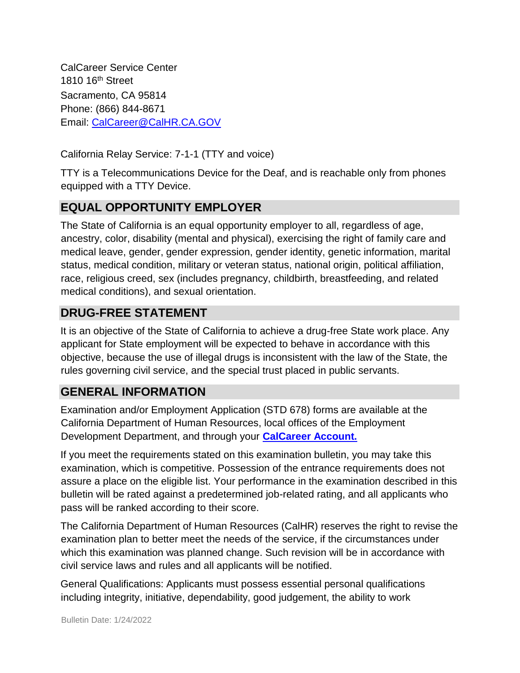CalCareer Service Center 1810 16th Street Sacramento, CA 95814 Phone: (866) 844-8671 Email: CalCareer@CalHR.CA.GOV

California Relay Service: 7-1-1 (TTY and voice)

TTY is a Telecommunications Device for the Deaf, and is reachable only from phones equipped with a TTY Device.

## **EQUAL OPPORTUNITY EMPLOYER**

The State of California is an equal opportunity employer to all, regardless of age, ancestry, color, disability (mental and physical), exercising the right of family care and medical leave, gender, gender expression, gender identity, genetic information, marital status, medical condition, military or veteran status, national origin, political affiliation, race, religious creed, sex (includes pregnancy, childbirth, breastfeeding, and related medical conditions), and sexual orientation.

## **DRUG-FREE STATEMENT**

It is an objective of the State of California to achieve a drug-free State work place. Any applicant for State employment will be expected to behave in accordance with this objective, because the use of illegal drugs is inconsistent with the law of the State, the rules governing civil service, and the special trust placed in public servants.

## **GENERAL INFORMATION**

Examination and/or Employment Application (STD 678) forms are available at the California Department of Human Resources, local offices of the Employment Development Department, and through your **[CalCareer Account.](http://www.jobs.ca.gov/)**

If you meet the requirements stated on this examination bulletin, you may take this examination, which is competitive. Possession of the entrance requirements does not assure a place on the eligible list. Your performance in the examination described in this bulletin will be rated against a predetermined job-related rating, and all applicants who pass will be ranked according to their score.

The California Department of Human Resources (CalHR) reserves the right to revise the examination plan to better meet the needs of the service, if the circumstances under which this examination was planned change. Such revision will be in accordance with civil service laws and rules and all applicants will be notified.

General Qualifications: Applicants must possess essential personal qualifications including integrity, initiative, dependability, good judgement, the ability to work